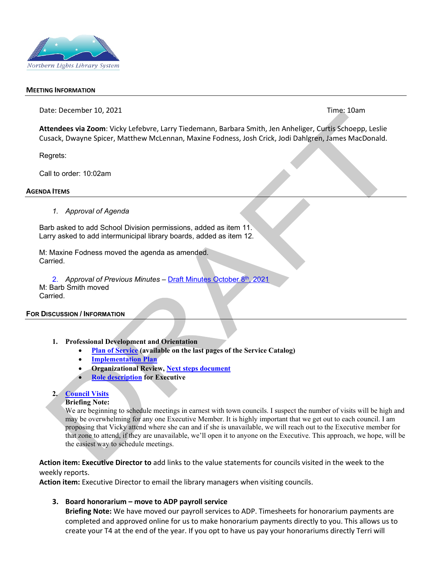

#### **MEETING INFORMATION**

Date: December 10, 2021Time: 10am

**Attendees via Zoom**: Vicky Lefebvre, Larry Tiedemann, Barbara Smith, Jen Anheliger, Curtis Schoepp, Leslie Cusack, Dwayne Spicer, Matthew McLennan, Maxine Fodness, Josh Crick, Jodi Dahlgren, James MacDonald.

Regrets:

Call to order: 10:02am

#### **AGENDA ITEMS**

#### *1. Approval of Agenda*

Barb asked to add School Division permissions, added as item 11. Larry asked to add intermunicipal library boards, added as item 12.

M: Maxine Fodness moved the agenda as amended. Carried.

2. *Approval of Previous Minutes –* [Draft Minutes October 8th, 2021](https://nlls-my.sharepoint.com/:b:/g/personal/jmacdonald_nlls_ab_ca/EYlF83YjLiFHmH3-8So6eCABivoyKDWNPxbbmbpLjpyDdw?e=XSqHn1) M: Barb Smith moved Carried.

#### **FOR DISCUSSION / INFORMATION**

- **1. Professional Development and Orientation**
	- **[Plan of Service](https://www.nlls.ab.ca/public/download/files/194572) (available on the last pages of the Service Catalog)**
	- **[Implementation Plan](https://nlls-my.sharepoint.com/:b:/g/personal/jmacdonald_nlls_ab_ca/ESnrl0KldrRMgOEoyoFZXykBoJNUS6hWIzGTj9lXKOHnqg?e=UcvxL3)**
	- **Organizational Review, [Next steps document](https://nlls-my.sharepoint.com/:b:/g/personal/jmacdonald_nlls_ab_ca/EdRT0m8gOjpNj5zyt12QJnQBfYaVeTqc_0fjjgiexWD57w?e=b7G0Oy)**
	- **[Role description](https://nlls.libanswers.com/policies/faq/205635) for Executive**

#### **2. [Council Visits](https://nlls-my.sharepoint.com/:x:/g/personal/jmacdonald_nlls_ab_ca/EdxY0LL-ChBEnyACzb8R8TABJFn_Lz2c-rgj8iCqhuoAkA?e=MudfTX)**

#### **Briefing Note:**

We are beginning to schedule meetings in earnest with town councils. I suspect the number of visits will be high and may be overwhelming for any one Executive Member. It is highly important that we get out to each council. I am proposing that Vicky attend where she can and if she is unavailable, we will reach out to the Executive member for that zone to attend, if they are unavailable, we'll open it to anyone on the Executive. This approach, we hope, will be the easiest way to schedule meetings.

**Action item: Executive Director to** add links to the value statements for councils visited in the week to the weekly reports.

**Action item:** Executive Director to email the library managers when visiting councils.

#### **3. Board honorarium – move to ADP payroll service**

**Briefing Note:** We have moved our payroll services to ADP. Timesheets for honorarium payments are completed and approved online for us to make honorarium payments directly to you. This allows us to create your T4 at the end of the year. If you opt to have us pay your honorariums directly Terri will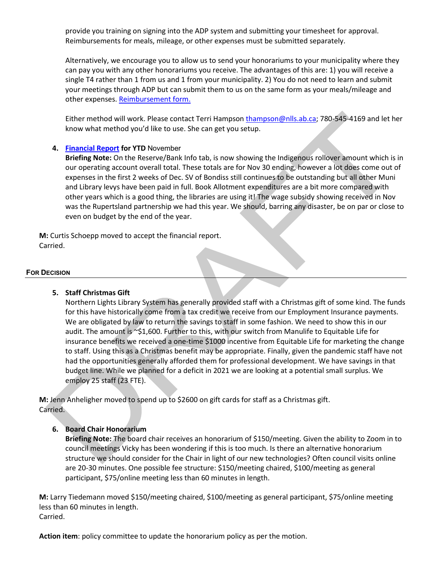provide you training on signing into the ADP system and submitting your timesheet for approval. Reimbursements for meals, mileage, or other expenses must be submitted separately.

Alternatively, we encourage you to allow us to send your honorariums to your municipality where they can pay you with any other honorariums you receive. The advantages of this are: 1) you will receive a single T4 rather than 1 from us and 1 from your municipality. 2) You do not need to learn and submit your meetings through ADP but can submit them to us on the same form as your meals/mileage and other expenses. [Reimbursement form.](https://nlls-my.sharepoint.com/:x:/g/personal/thampson_nlls_ab_ca/EY1g3s3c7uJIqQLmECa6PSIBCroqp5l_wKEhMO36uKaTzw?e=PRplJf)

Either method will work. Please contact Terri Hampson [thampson@nlls.ab.ca;](mailto:thampson@nlls.ab.ca) 780-545-4169 and let her know what method you'd like to use. She can get you setup.

# **4. [Financial Report](https://nlls-my.sharepoint.com/:x:/g/personal/thampson_nlls_ab_ca/EbTFr5doJ11Ghq85TDRew4gB8aOxWZ_5zHSoGr6YrATi0A?e=oSdBLk) for YTD** November

**Briefing Note:** On the Reserve/Bank Info tab, is now showing the Indigenous rollover amount which is in our operating account overall total. These totals are for Nov 30 ending, however a lot does come out of expenses in the first 2 weeks of Dec. SV of Bondiss still continues to be outstanding but all other Muni and Library levys have been paid in full. Book Allotment expenditures are a bit more compared with other years which is a good thing, the libraries are using it! The wage subsidy showing received in Nov was the Rupertsland partnership we had this year. We should, barring any disaster, be on par or close to even on budget by the end of the year.

**M:** Curtis Schoepp moved to accept the financial report. Carried.

#### **FOR DECISION**

## **5. Staff Christmas Gift**

Northern Lights Library System has generally provided staff with a Christmas gift of some kind. The funds for this have historically come from a tax credit we receive from our Employment Insurance payments. We are obligated by law to return the savings to staff in some fashion. We need to show this in our audit. The amount is ~\$1,600. Further to this, with our switch from Manulife to Equitable Life for insurance benefits we received a one-time \$1000 incentive from Equitable Life for marketing the change to staff. Using this as a Christmas benefit may be appropriate. Finally, given the pandemic staff have not had the opportunities generally afforded them for professional development. We have savings in that budget line. While we planned for a deficit in 2021 we are looking at a potential small surplus. We employ 25 staff (23 FTE).

**M:** Jenn Anheligher moved to spend up to \$2600 on gift cards for staff as a Christmas gift. Carried.

## **6. Board Chair Honorarium**

**Briefing Note:** The board chair receives an honorarium of \$150/meeting. Given the ability to Zoom in to council meetings Vicky has been wondering if this is too much. Is there an alternative honorarium structure we should consider for the Chair in light of our new technologies? Often council visits online are 20-30 minutes. One possible fee structure: \$150/meeting chaired, \$100/meeting as general participant, \$75/online meeting less than 60 minutes in length.

**M:** Larry Tiedemann moved \$150/meeting chaired, \$100/meeting as general participant, \$75/online meeting less than 60 minutes in length. Carried.

**Action item**: policy committee to update the honorarium policy as per the motion.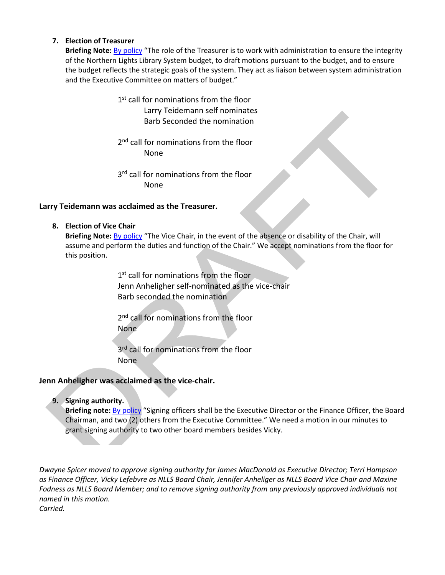## **7. Election of Treasurer**

**Briefing Note:** [By policy](https://nlls.libanswers.com/policies/faq/206137) "The role of the Treasurer is to work with administration to ensure the integrity of the Northern Lights Library System budget, to draft motions pursuant to the budget, and to ensure the budget reflects the strategic goals of the system. They act as liaison between system administration and the Executive Committee on matters of budget."

- 1<sup>st</sup> call for nominations from the floor Larry Teidemann self nominates Barb Seconded the nomination
- 2<sup>nd</sup> call for nominations from the floor None
- 3<sup>rd</sup> call for nominations from the floor None

# **Larry Teidemann was acclaimed as the Treasurer.**

**8. Election of Vice Chair**

**Briefing Note:** [By policy](https://nlls.libanswers.com/policies/faq/205634) "The Vice Chair, in the event of the absence or disability of the Chair, will assume and perform the duties and function of the Chair." We accept nominations from the floor for this position.

> 1<sup>st</sup> call for nominations from the floor Jenn Anheligher self-nominated as the vice-chair Barb seconded the nomination

2<sup>nd</sup> call for nominations from the floor None

3<sup>rd</sup> call for nominations from the floor None

# **Jenn Anheligher was acclaimed as the vice-chair.**

**9. Signing authority.**

**Briefing note:** [By policy](https://nlls.libanswers.com/policies/faq/205651) "Signing officers shall be the Executive Director or the Finance Officer, the Board Chairman, and two (2) others from the Executive Committee." We need a motion in our minutes to grant signing authority to two other board members besides Vicky.

*Dwayne Spicer moved to approve signing authority for James MacDonald as Executive Director; Terri Hampson as Finance Officer, Vicky Lefebvre as NLLS Board Chair, Jennifer Anheliger as NLLS Board Vice Chair and Maxine Fodness as NLLS Board Member; and to remove signing authority from any previously approved individuals not named in this motion. Carried.*